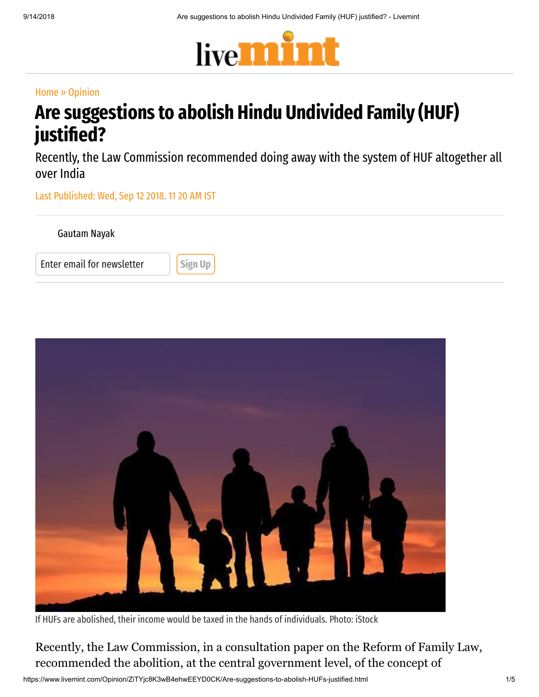

#### [Home](https://www.livemint.com/) » [Opinion](https://www.livemint.com/opinion)

# Are suggestions to abolish Hindu Undivided Family (HUF) justified?

Recently, the Law Commission recommended doing away with the system of HUF altogether all over India

Last Published: Wed, Sep 12 2018. 11 20 AM IST





If HUFs are abolished, their income would be taxed in the hands of individuals. Photo: iStock

Recently, the Law Commission, in a consultation paper on the Reform of Family Law, recommended the abolition, at the central government level, of the concept of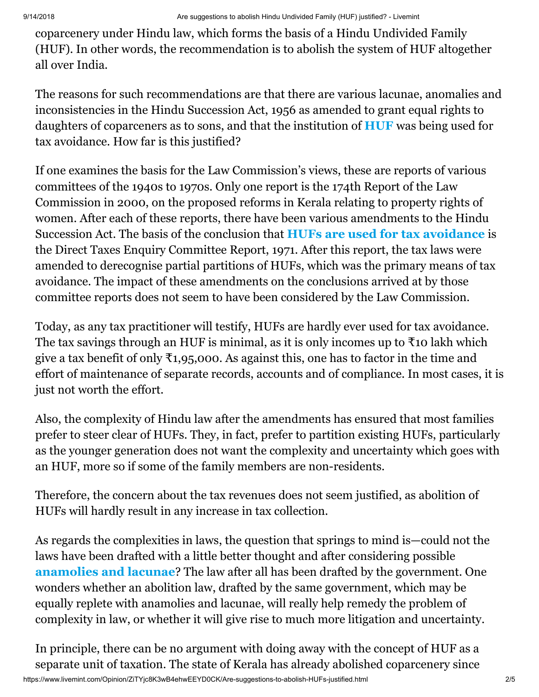coparcenery under Hindu law, which forms the basis of a Hindu Undivided Family (HUF). In other words, the recommendation is to abolish the system of HUF altogether all over India.

The reasons for such recommendations are that there are various lacunae, anomalies and inconsistencies in the Hindu Succession Act, 1956 as amended to grant equal rights to daughters of coparceners as to sons, and that the institution of [HUF](https://www.livemint.com/Money/Vs7FUmfHyknwk81olSPA1M/Daughters-are-also-coparceners-in-HUF.html) was being used for tax avoidance. How far is this justified?

If one examines the basis for the Law Commission's views, these are reports of various committees of the 1940s to 1970s. Only one report is the 174th Report of the Law Commission in 2000, on the proposed reforms in Kerala relating to property rights of women. After each of these reports, there have been various amendments to the Hindu Succession Act. The basis of the conclusion that [HUFs are used for tax avoidance](https://www.livemint.com/Money/Xpv4c2blnXVtNQQokyA77K/What-is-Hindu-Undivided-Family-and-how-is-it-taxed.html) is the Direct Taxes Enquiry Committee Report, 1971. After this report, the tax laws were amended to derecognise partial partitions of HUFs, which was the primary means of tax avoidance. The impact of these amendments on the conclusions arrived at by those committee reports does not seem to have been considered by the Law Commission.

Today, as any tax practitioner will testify, HUFs are hardly ever used for tax avoidance. The tax savings through an HUF is minimal, as it is only incomes up to  $\bar{\tau}$  10 lakh which give a tax benefit of only  $\bar{\tau}_1$ , 95,000. As against this, one has to factor in the time and effort of maintenance of separate records, accounts and of compliance. In most cases, it is just not worth the effort.

Also, the complexity of Hindu law after the amendments has ensured that most families prefer to steer clear of HUFs. They, in fact, prefer to partition existing HUFs, particularly as the younger generation does not want the complexity and uncertainty which goes with an HUF, more so if some of the family members are non-residents.

Therefore, the concern about the tax revenues does not seem justified, as abolition of HUFs will hardly result in any increase in tax collection.

As regards the complexities in laws, the question that springs to mind is—could not the laws have been drafted with a little better thought and after considering possible [anamolies and lacunae](https://www.livemint.com/Money/fwMs4ZuyIoctPyaXX82c2J/A-Hindu-widow-cannot-be-the-karta-of-her-late-husbands-Hind.html)? The law after all has been drafted by the government. One wonders whether an abolition law, drafted by the same government, which may be equally replete with anamolies and lacunae, will really help remedy the problem of complexity in law, or whether it will give rise to much more litigation and uncertainty.

In principle, there can be no argument with doing away with the concept of HUF as a separate unit of taxation. The state of Kerala has already abolished coparcenery since